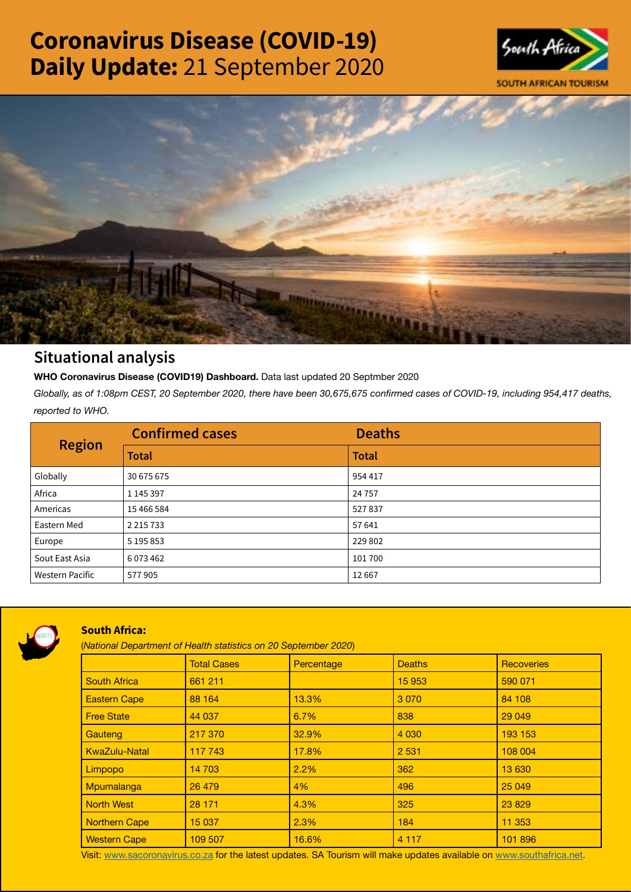# Coronavirus Disease (COVID-19) Daily Update: 21 September 2020





# Situational analysis

**WHO Coronavirus Disease (COVID19) Dashboard.** Data last updated 20 Septmber 2020

*Globally, as of 1:08pm CEST, 20 September 2020, there have been 30,675,675 confirmed cases of COVID-19, including 954,417 deaths, reported to WHO.*

| <b>Region</b>          | <b>Confirmed cases</b> | <b>Deaths</b> |
|------------------------|------------------------|---------------|
|                        | <b>Total</b>           | <b>Total</b>  |
| Globally               | 30 675 675             | 954 417       |
| Africa                 | 1 145 397              | 24 7 5 7      |
| Americas               | 15 466 584             | 527837        |
| Eastern Med            | 2 2 1 5 7 3 3          | 57 641        |
| Europe                 | 5 195 853              | 229 802       |
| Sout East Asia         | 6073462                | 101700        |
| <b>Western Pacific</b> | 577905                 | 12667         |



# South Africa:

(*National Department of Health statistics on 20 September 2020*)

|                      | <b>Total Cases</b> | Percentage | <b>Deaths</b> | <b>Recoveries</b> |
|----------------------|--------------------|------------|---------------|-------------------|
| <b>South Africa</b>  | 661 211            |            | 15 953        | 590 071           |
| <b>Eastern Cape</b>  | 88 164             | 13.3%      | 3 0 7 0       | 84 108            |
| <b>Free State</b>    | 44 037             | 6.7%       | 838           | 29 049            |
| Gauteng              | 217 370            | 32.9%      | 4 0 3 0       | 193 153           |
| <b>KwaZulu-Natal</b> | 117 743            | 17.8%      | 2 5 3 1       | 108 004           |
| Limpopo              | 14 703             | 2.2%       | 362           | 13 630            |
| Mpumalanga           | 26 479             | 4%         | 496           | 25 049            |
| <b>North West</b>    | 28 171             | 4.3%       | 325           | 23829             |
| <b>Northern Cape</b> | 15 037             | 2.3%       | 184           | 11 353            |
| <b>Western Cape</b>  | 109 507            | 16.6%      | 4 1 1 7       | 101 896           |

Visit: [www.sacoronavirus.co.za](http://www.sacoronavirus.co.za) for the latest updates. SA Tourism will make updates available on [www.southafrica.net.](http://www.southafrica.net)